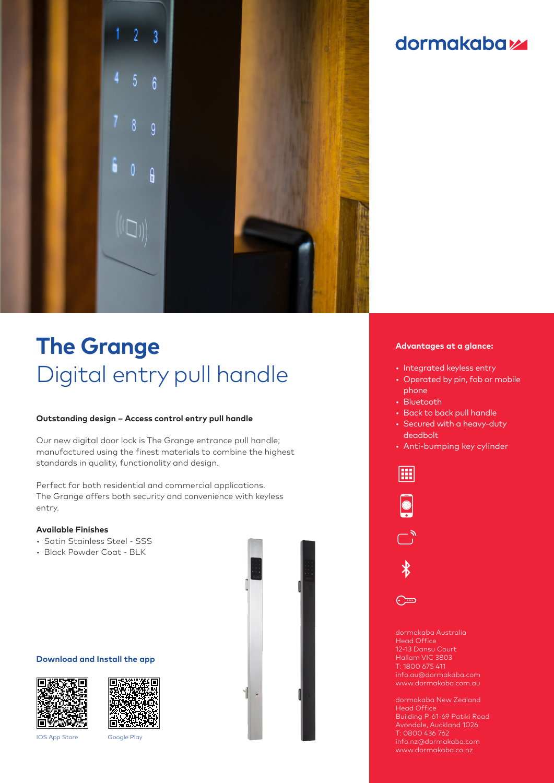

# dormakaba<sub>z</sub>

# **The Grange** Digital entry pull handle

## **Outstanding design – Access control entry pull handle**

Our new digital door lock is The Grange entrance pull handle; manufactured using the finest materials to combine the highest standards in quality, functionality and design.

Perfect for both residential and commercial applications. The Grange offers both security and convenience with keyless entry.

## **Available Finishes**

- Satin Stainless Steel SSS
- Black Powder Coat BLK

# **Download and Install the app**





IOS App Store Google Play



#### **Advantages at a glance:**

- Integrated keyless entry
- Operated by pin, fob or mobile phone
- Bluetooth
- Back to back pull handle
- Secured with a heavy-duty deadbolt
- Anti-bumping key cylinder



Head Office 12-13 Dansu Court Hallam VIC 3803 T: 1800 675 411 info.au@dormakaba.com

dormakaba New Zealand Head Office Building P, 61-69 Patiki Road Avondale, Auckland 1026 T: 0800 436 762 info.nz@dormakaba.com www.dormakaba.co.nz